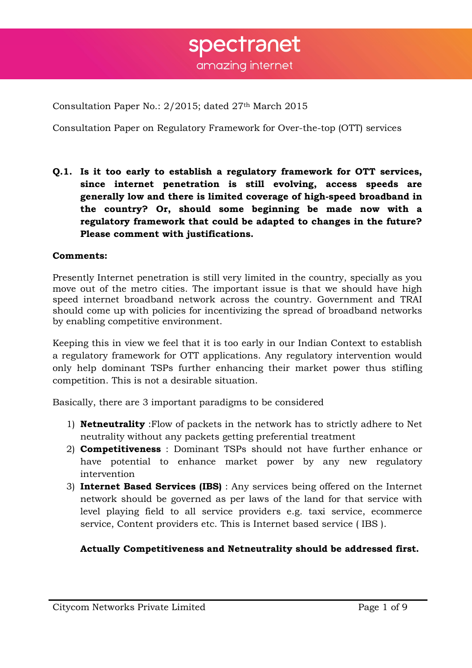Consultation Paper No.: 2/2015; dated 27th March 2015

Consultation Paper on Regulatory Framework for Over-the-top (OTT) services

**Q.1. Is it too early to establish a regulatory framework for OTT services, since internet penetration is still evolving, access speeds are generally low and there is limited coverage of high-speed broadband in the country? Or, should some beginning be made now with a regulatory framework that could be adapted to changes in the future? Please comment with justifications.** 

### **Comments:**

Presently Internet penetration is still very limited in the country, specially as you move out of the metro cities. The important issue is that we should have high speed internet broadband network across the country. Government and TRAI should come up with policies for incentivizing the spread of broadband networks by enabling competitive environment.

Keeping this in view we feel that it is too early in our Indian Context to establish a regulatory framework for OTT applications. Any regulatory intervention would only help dominant TSPs further enhancing their market power thus stifling competition. This is not a desirable situation.

Basically, there are 3 important paradigms to be considered

- 1) **Netneutrality** :Flow of packets in the network has to strictly adhere to Net neutrality without any packets getting preferential treatment
- 2) **Competitiveness** : Dominant TSPs should not have further enhance or have potential to enhance market power by any new regulatory intervention
- 3) **Internet Based Services (IBS)** : Any services being offered on the Internet network should be governed as per laws of the land for that service with level playing field to all service providers e.g. taxi service, ecommerce service, Content providers etc. This is Internet based service ( IBS ).

# **Actually Competitiveness and Netneutrality should be addressed first.**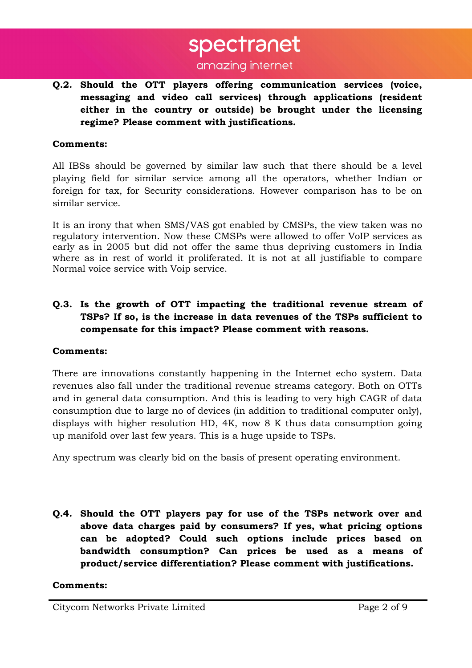**Q.2. Should the OTT players offering communication services (voice, messaging and video call services) through applications (resident either in the country or outside) be brought under the licensing regime? Please comment with justifications.** 

#### **Comments:**

All IBSs should be governed by similar law such that there should be a level playing field for similar service among all the operators, whether Indian or foreign for tax, for Security considerations. However comparison has to be on similar service.

It is an irony that when SMS/VAS got enabled by CMSPs, the view taken was no regulatory intervention. Now these CMSPs were allowed to offer VoIP services as early as in 2005 but did not offer the same thus depriving customers in India where as in rest of world it proliferated. It is not at all justifiable to compare Normal voice service with Voip service.

# **Q.3. Is the growth of OTT impacting the traditional revenue stream of TSPs? If so, is the increase in data revenues of the TSPs sufficient to compensate for this impact? Please comment with reasons.**

#### **Comments:**

There are innovations constantly happening in the Internet echo system. Data revenues also fall under the traditional revenue streams category. Both on OTTs and in general data consumption. And this is leading to very high CAGR of data consumption due to large no of devices (in addition to traditional computer only), displays with higher resolution HD, 4K, now 8 K thus data consumption going up manifold over last few years. This is a huge upside to TSPs.

Any spectrum was clearly bid on the basis of present operating environment.

**Q.4. Should the OTT players pay for use of the TSPs network over and above data charges paid by consumers? If yes, what pricing options can be adopted? Could such options include prices based on bandwidth consumption? Can prices be used as a means of product/service differentiation? Please comment with justifications.** 

#### **Comments:**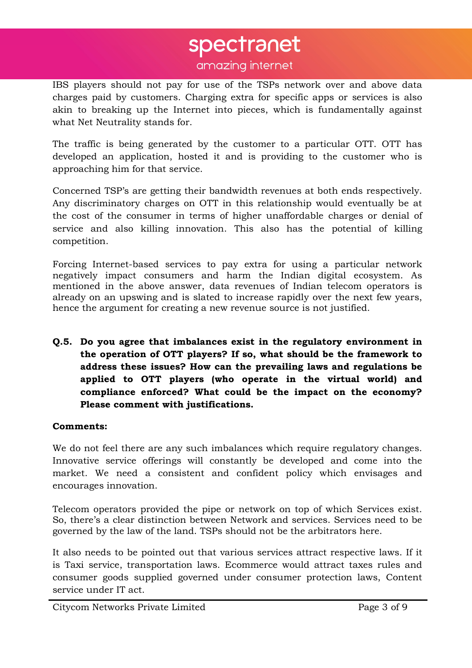# spectranet

amazing internet

IBS players should not pay for use of the TSPs network over and above data charges paid by customers. Charging extra for specific apps or services is also akin to breaking up the Internet into pieces, which is fundamentally against what Net Neutrality stands for.

The traffic is being generated by the customer to a particular OTT. OTT has developed an application, hosted it and is providing to the customer who is approaching him for that service.

Concerned TSP's are getting their bandwidth revenues at both ends respectively. Any discriminatory charges on OTT in this relationship would eventually be at the cost of the consumer in terms of higher unaffordable charges or denial of service and also killing innovation. This also has the potential of killing competition.

Forcing Internet-based services to pay extra for using a particular network negatively impact consumers and harm the Indian digital ecosystem. As mentioned in the above answer, data revenues of Indian telecom operators is already on an upswing and is slated to increase rapidly over the next few years, hence the argument for creating a new revenue source is not justified.

**Q.5. Do you agree that imbalances exist in the regulatory environment in the operation of OTT players? If so, what should be the framework to address these issues? How can the prevailing laws and regulations be applied to OTT players (who operate in the virtual world) and compliance enforced? What could be the impact on the economy? Please comment with justifications.** 

### **Comments:**

We do not feel there are any such imbalances which require regulatory changes. Innovative service offerings will constantly be developed and come into the market. We need a consistent and confident policy which envisages and encourages innovation.

Telecom operators provided the pipe or network on top of which Services exist. So, there's a clear distinction between Network and services. Services need to be governed by the law of the land. TSPs should not be the arbitrators here.

It also needs to be pointed out that various services attract respective laws. If it is Taxi service, transportation laws. Ecommerce would attract taxes rules and consumer goods supplied governed under consumer protection laws, Content service under IT act.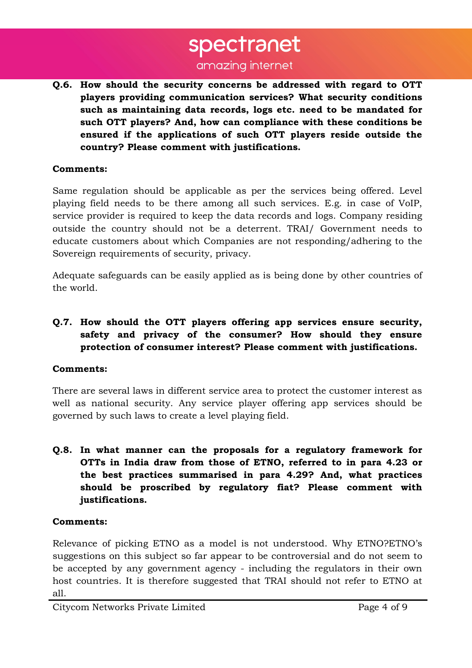# spectranet

# amazing internet

**Q.6. How should the security concerns be addressed with regard to OTT players providing communication services? What security conditions such as maintaining data records, logs etc. need to be mandated for such OTT players? And, how can compliance with these conditions be ensured if the applications of such OTT players reside outside the country? Please comment with justifications.** 

### **Comments:**

Same regulation should be applicable as per the services being offered. Level playing field needs to be there among all such services. E.g. in case of VoIP, service provider is required to keep the data records and logs. Company residing outside the country should not be a deterrent. TRAI/ Government needs to educate customers about which Companies are not responding/adhering to the Sovereign requirements of security, privacy.

Adequate safeguards can be easily applied as is being done by other countries of the world.

# **Q.7. How should the OTT players offering app services ensure security, safety and privacy of the consumer? How should they ensure protection of consumer interest? Please comment with justifications.**

### **Comments:**

There are several laws in different service area to protect the customer interest as well as national security. Any service player offering app services should be governed by such laws to create a level playing field.

**Q.8. In what manner can the proposals for a regulatory framework for OTTs in India draw from those of ETNO, referred to in para 4.23 or the best practices summarised in para 4.29? And, what practices should be proscribed by regulatory fiat? Please comment with justifications.** 

### **Comments:**

Relevance of picking ETNO as a model is not understood. Why ETNO?ETNO's suggestions on this subject so far appear to be controversial and do not seem to be accepted by any government agency - including the regulators in their own host countries. It is therefore suggested that TRAI should not refer to ETNO at all.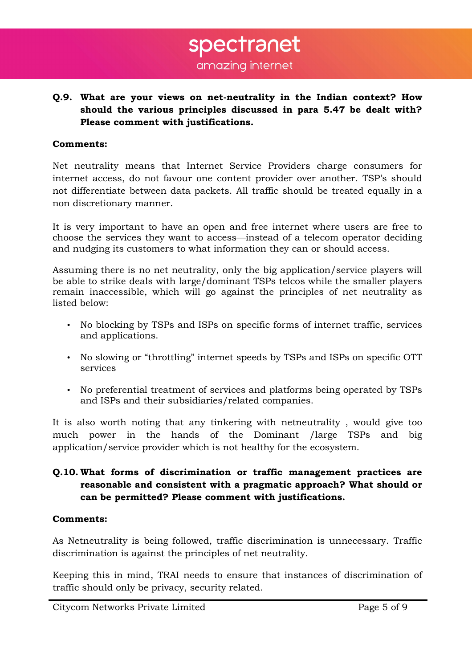**Q.9. What are your views on net-neutrality in the Indian context? How should the various principles discussed in para 5.47 be dealt with? Please comment with justifications.** 

#### **Comments:**

Net neutrality means that Internet Service Providers charge consumers for internet access, do not favour one content provider over another. TSP's should not differentiate between data packets. All traffic should be treated equally in a non discretionary manner.

It is very important to have an open and free internet where users are free to choose the services they want to access—instead of a telecom operator deciding and nudging its customers to what information they can or should access.

Assuming there is no net neutrality, only the big application/service players will be able to strike deals with large/dominant TSPs telcos while the smaller players remain inaccessible, which will go against the principles of net neutrality as listed below:

- No blocking by TSPs and ISPs on specific forms of internet traffic, services and applications.
- No slowing or "throttling" internet speeds by TSPs and ISPs on specific OTT services
- No preferential treatment of services and platforms being operated by TSPs and ISPs and their subsidiaries/related companies.

It is also worth noting that any tinkering with netneutrality , would give too much power in the hands of the Dominant /large TSPs and big application/service provider which is not healthy for the ecosystem.

# **Q.10. What forms of discrimination or traffic management practices are reasonable and consistent with a pragmatic approach? What should or can be permitted? Please comment with justifications.**

#### **Comments:**

As Netneutrality is being followed, traffic discrimination is unnecessary. Traffic discrimination is against the principles of net neutrality.

Keeping this in mind, TRAI needs to ensure that instances of discrimination of traffic should only be privacy, security related.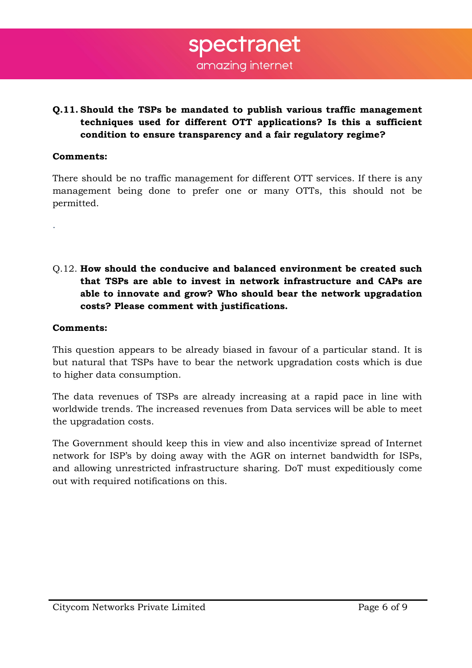# **Q.11. Should the TSPs be mandated to publish various traffic management techniques used for different OTT applications? Is this a sufficient condition to ensure transparency and a fair regulatory regime?**

#### **Comments:**

.

There should be no traffic management for different OTT services. If there is any management being done to prefer one or many OTTs, this should not be permitted.

Q.12. **How should the conducive and balanced environment be created such that TSPs are able to invest in network infrastructure and CAPs are able to innovate and grow? Who should bear the network upgradation costs? Please comment with justifications.**

#### **Comments:**

This question appears to be already biased in favour of a particular stand. It is but natural that TSPs have to bear the network upgradation costs which is due to higher data consumption.

The data revenues of TSPs are already increasing at a rapid pace in line with worldwide trends. The increased revenues from Data services will be able to meet the upgradation costs.

The Government should keep this in view and also incentivize spread of Internet network for ISP's by doing away with the AGR on internet bandwidth for ISPs, and allowing unrestricted infrastructure sharing. DoT must expeditiously come out with required notifications on this.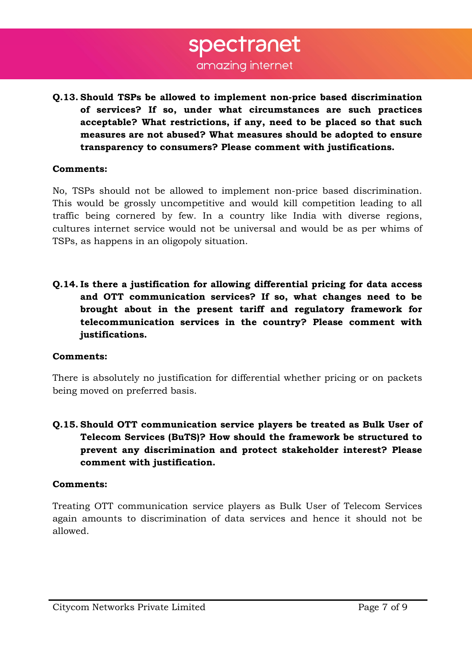**Q.13. Should TSPs be allowed to implement non-price based discrimination of services? If so, under what circumstances are such practices acceptable? What restrictions, if any, need to be placed so that such measures are not abused? What measures should be adopted to ensure transparency to consumers? Please comment with justifications.** 

### **Comments:**

No, TSPs should not be allowed to implement non-price based discrimination. This would be grossly uncompetitive and would kill competition leading to all traffic being cornered by few. In a country like India with diverse regions, cultures internet service would not be universal and would be as per whims of TSPs, as happens in an oligopoly situation.

**Q.14. Is there a justification for allowing differential pricing for data access and OTT communication services? If so, what changes need to be brought about in the present tariff and regulatory framework for telecommunication services in the country? Please comment with justifications.** 

# **Comments:**

There is absolutely no justification for differential whether pricing or on packets being moved on preferred basis.

**Q.15. Should OTT communication service players be treated as Bulk User of Telecom Services (BuTS)? How should the framework be structured to prevent any discrimination and protect stakeholder interest? Please comment with justification.** 

### **Comments:**

Treating OTT communication service players as Bulk User of Telecom Services again amounts to discrimination of data services and hence it should not be allowed.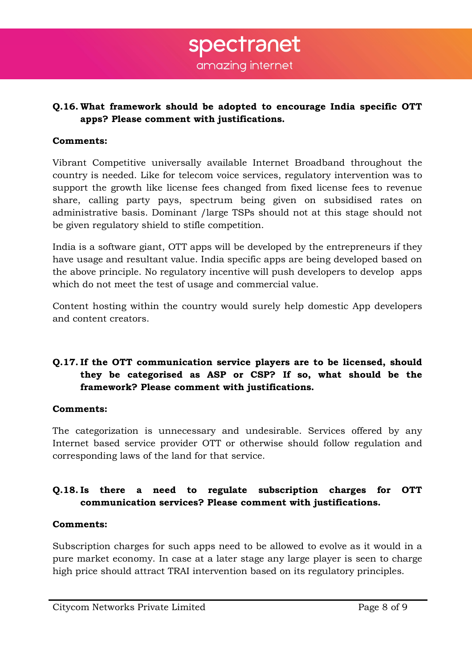amazing internet

spectranet

# **Q.16. What framework should be adopted to encourage India specific OTT apps? Please comment with justifications.**

## **Comments:**

Vibrant Competitive universally available Internet Broadband throughout the country is needed. Like for telecom voice services, regulatory intervention was to support the growth like license fees changed from fixed license fees to revenue share, calling party pays, spectrum being given on subsidised rates on administrative basis. Dominant /large TSPs should not at this stage should not be given regulatory shield to stifle competition.

India is a software giant, OTT apps will be developed by the entrepreneurs if they have usage and resultant value. India specific apps are being developed based on the above principle. No regulatory incentive will push developers to develop apps which do not meet the test of usage and commercial value.

Content hosting within the country would surely help domestic App developers and content creators.

# **Q.17. If the OTT communication service players are to be licensed, should they be categorised as ASP or CSP? If so, what should be the framework? Please comment with justifications.**

# **Comments:**

The categorization is unnecessary and undesirable. Services offered by any Internet based service provider OTT or otherwise should follow regulation and corresponding laws of the land for that service.

# **Q.18. Is there a need to regulate subscription charges for OTT communication services? Please comment with justifications.**

# **Comments:**

Subscription charges for such apps need to be allowed to evolve as it would in a pure market economy. In case at a later stage any large player is seen to charge high price should attract TRAI intervention based on its regulatory principles.